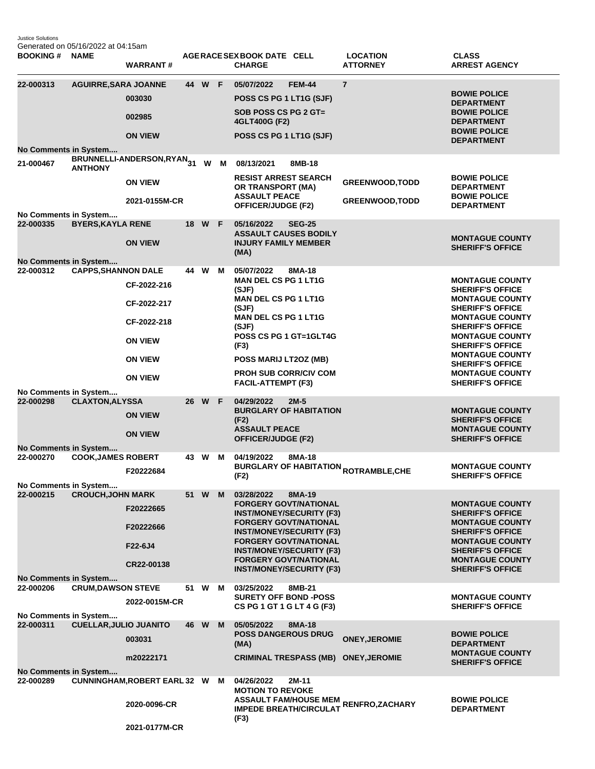Justice Solutions Generated on 05/16/2022 at 04:15am

| <b>BOOKING#</b>                           | <b>NAME</b>                   | <b>WARRANT#</b>                     |                 |        |     | AGERACE SEX BOOK DATE CELL<br><b>CHARGE</b>                                       |                                                                                                 | <b>LOCATION</b><br><b>ATTORNEY</b>                                            | <b>CLASS</b><br><b>ARREST AGENCY</b>                                         |
|-------------------------------------------|-------------------------------|-------------------------------------|-----------------|--------|-----|-----------------------------------------------------------------------------------|-------------------------------------------------------------------------------------------------|-------------------------------------------------------------------------------|------------------------------------------------------------------------------|
| 22-000313                                 | <b>AGUIRRE, SARA JOANNE</b>   | 003030                              |                 | 44 W F |     | 05/07/2022<br>POSS CS PG 1 LT1G (SJF)                                             | <b>FEM-44</b>                                                                                   | $\overline{7}$                                                                | <b>BOWIE POLICE</b><br><b>DEPARTMENT</b>                                     |
|                                           |                               | 002985                              |                 |        |     | SOB POSS CS PG 2 GT=<br>4GLT400G (F2)                                             |                                                                                                 |                                                                               | <b>BOWIE POLICE</b><br><b>DEPARTMENT</b>                                     |
|                                           |                               | <b>ON VIEW</b>                      |                 |        |     | POSS CS PG 1 LT1G (SJF)                                                           |                                                                                                 |                                                                               | <b>BOWIE POLICE</b><br><b>DEPARTMENT</b>                                     |
| No Comments in System<br>21-000467        | <b>ANTHONY</b>                | BRUNNELLI-ANDERSON,RYAN31           |                 |        | W M | 08/13/2021                                                                        | 8MB-18                                                                                          |                                                                               |                                                                              |
|                                           |                               | <b>ON VIEW</b>                      |                 |        |     | <b>RESIST ARREST SEARCH</b><br>OR TRANSPORT (MA)                                  |                                                                                                 | <b>GREENWOOD, TODD</b>                                                        | <b>BOWIE POLICE</b><br><b>DEPARTMENT</b>                                     |
| No Comments in System                     |                               | 2021-0155M-CR                       |                 |        |     | <b>ASSAULT PEACE</b><br><b>OFFICER/JUDGE (F2)</b>                                 |                                                                                                 | <b>GREENWOOD, TODD</b>                                                        | <b>BOWIE POLICE</b><br><b>DEPARTMENT</b>                                     |
| 22-000335                                 | <b>BYERS, KAYLA RENE</b>      |                                     |                 | 18 W F |     | 05/16/2022<br><b>ASSAULT CAUSES BODILY</b>                                        | <b>SEG-25</b>                                                                                   |                                                                               | <b>MONTAGUE COUNTY</b>                                                       |
|                                           |                               | <b>ON VIEW</b>                      |                 |        |     | <b>INJURY FAMILY MEMBER</b><br>(MA)                                               |                                                                                                 |                                                                               | <b>SHERIFF'S OFFICE</b>                                                      |
| <b>No Comments in System</b><br>22-000312 | <b>CAPPS, SHANNON DALE</b>    | CF-2022-216                         |                 | 44 W   | м   | 05/07/2022<br><b>MAN DEL CS PG 1 LT1G</b><br>(SJF)<br><b>MAN DEL CS PG 1 LT1G</b> | 8MA-18                                                                                          |                                                                               | <b>MONTAGUE COUNTY</b><br><b>SHERIFF'S OFFICE</b><br><b>MONTAGUE COUNTY</b>  |
|                                           |                               | CF-2022-217                         |                 |        |     | (SJF)<br><b>MAN DEL CS PG 1 LT1G</b>                                              |                                                                                                 |                                                                               | <b>SHERIFF'S OFFICE</b><br><b>MONTAGUE COUNTY</b>                            |
|                                           |                               | CF-2022-218<br><b>ON VIEW</b>       |                 |        |     | (SJF)<br>POSS CS PG 1 GT=1GLT4G                                                   |                                                                                                 |                                                                               | <b>SHERIFF'S OFFICE</b><br><b>MONTAGUE COUNTY</b>                            |
|                                           |                               | <b>ON VIEW</b>                      |                 |        |     | (F3)<br>POSS MARIJ LT2OZ (MB)                                                     |                                                                                                 |                                                                               | <b>SHERIFF'S OFFICE</b><br><b>MONTAGUE COUNTY</b><br><b>SHERIFF'S OFFICE</b> |
|                                           |                               | <b>ON VIEW</b>                      |                 |        |     | <b>PROH SUB CORR/CIV COM</b><br>FACIL-ATTEMPT (F3)                                |                                                                                                 |                                                                               | <b>MONTAGUE COUNTY</b><br><b>SHERIFF'S OFFICE</b>                            |
| No Comments in System<br>22-000298        | <b>CLAXTON, ALYSSA</b>        |                                     | 26 <sup>2</sup> | W F    |     | 04/29/2022                                                                        | $2M-5$                                                                                          |                                                                               |                                                                              |
|                                           |                               | <b>ON VIEW</b>                      |                 |        |     | (F2)                                                                              | <b>BURGLARY OF HABITATION</b>                                                                   |                                                                               | <b>MONTAGUE COUNTY</b><br><b>SHERIFF'S OFFICE</b>                            |
| No Comments in System                     |                               | <b>ON VIEW</b>                      |                 |        |     | <b>ASSAULT PEACE</b><br><b>OFFICER/JUDGE (F2)</b>                                 |                                                                                                 |                                                                               | <b>MONTAGUE COUNTY</b><br><b>SHERIFF'S OFFICE</b>                            |
| 22-000270                                 | <b>COOK, JAMES ROBERT</b>     |                                     |                 | 43 W   | М   | 04/19/2022                                                                        | 8MA-18                                                                                          |                                                                               |                                                                              |
|                                           |                               | F20222684                           |                 |        |     | (F2)                                                                              |                                                                                                 | <b>BURGLARY OF HABITATION <sub>ROTRAMBLE,CHE</sub></b>                        | <b>MONTAGUE COUNTY</b><br><b>SHERIFF'S OFFICE</b>                            |
| No Comments in System<br>22-000215        | <b>CROUCH, JOHN MARK</b>      |                                     |                 | 51 W M |     | 03/28/2022                                                                        | 8MA-19                                                                                          |                                                                               |                                                                              |
|                                           |                               | F20222665                           |                 |        |     |                                                                                   | <b>FORGERY GOVT/NATIONAL</b><br><b>INST/MONEY/SECURITY (F3)</b>                                 |                                                                               | <b>MONTAGUE COUNTY</b><br><b>SHERIFF'S OFFICE</b>                            |
|                                           |                               | F20222666                           |                 |        |     |                                                                                   | <b>FORGERY GOVT/NATIONAL</b><br><b>INST/MONEY/SECURITY (F3)</b>                                 |                                                                               | <b>MONTAGUE COUNTY</b><br><b>SHERIFF'S OFFICE</b>                            |
|                                           |                               | F22-6J4                             |                 |        |     |                                                                                   | <b>FORGERY GOVT/NATIONAL</b><br><b>INST/MONEY/SECURITY (F3)</b><br><b>FORGERY GOVT/NATIONAL</b> |                                                                               | <b>MONTAGUE COUNTY</b><br><b>SHERIFF'S OFFICE</b><br><b>MONTAGUE COUNTY</b>  |
| <b>No Comments in System</b>              |                               | CR22-00138                          |                 |        |     |                                                                                   | <b>INST/MONEY/SECURITY (F3)</b>                                                                 |                                                                               | <b>SHERIFF'S OFFICE</b>                                                      |
| 22-000206                                 | <b>CRUM, DAWSON STEVE</b>     |                                     |                 | 51 W   | M   | 03/25/2022                                                                        | 8MB-21                                                                                          |                                                                               |                                                                              |
|                                           |                               | 2022-0015M-CR                       |                 |        |     | <b>SURETY OFF BOND -POSS</b><br>CS PG 1 GT 1 G LT 4 G (F3)                        |                                                                                                 |                                                                               | <b>MONTAGUE COUNTY</b><br><b>SHERIFF'S OFFICE</b>                            |
| No Comments in System<br>22-000311        | <b>CUELLAR, JULIO JUANITO</b> |                                     |                 | 46 W   | M   | 05/05/2022                                                                        | 8MA-18                                                                                          |                                                                               |                                                                              |
|                                           |                               | 003031                              |                 |        |     | <b>POSS DANGEROUS DRUG</b><br>(MA)                                                |                                                                                                 | <b>ONEY, JEROMIE</b>                                                          | <b>BOWIE POLICE</b><br><b>DEPARTMENT</b>                                     |
| <b>No Comments in System</b>              |                               | m20222171                           |                 |        |     |                                                                                   | <b>CRIMINAL TRESPASS (MB)</b>                                                                   | <b>ONEY, JEROMIE</b>                                                          | <b>MONTAGUE COUNTY</b><br><b>SHERIFF'S OFFICE</b>                            |
| 22-000289                                 |                               | <b>CUNNINGHAM, ROBERT EARL 32 W</b> |                 |        | M   | 04/26/2022<br><b>MOTION TO REVOKE</b>                                             | 2M-11                                                                                           |                                                                               |                                                                              |
|                                           |                               | 2020-0096-CR                        |                 |        |     |                                                                                   |                                                                                                 | ASSAULT FAM/HOUSE MEM RENFRO,ZACHARY<br>IMPEDE BREATH/CIRCULAT RENFRO,ZACHARY | <b>BOWIE POLICE</b><br><b>DEPARTMENT</b>                                     |
|                                           |                               | 2021-0177M-CR                       |                 |        |     | (F3)                                                                              |                                                                                                 |                                                                               |                                                                              |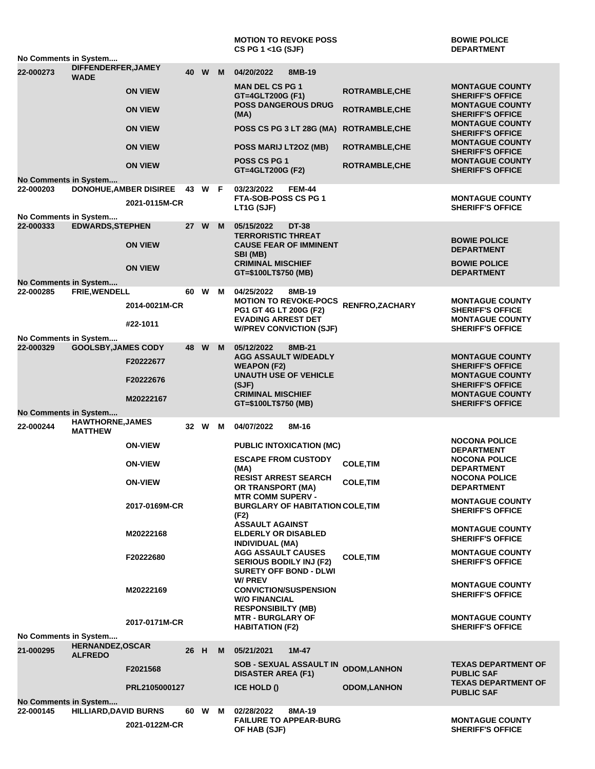|                                    |                                           |                                  |      |        |   | <b>MOTION TO REVOKE POSS</b><br>CS PG 1 <1G (SJF)               |                       | <b>BOWIE POLICE</b><br><b>DEPARTMENT</b>          |  |  |  |
|------------------------------------|-------------------------------------------|----------------------------------|------|--------|---|-----------------------------------------------------------------|-----------------------|---------------------------------------------------|--|--|--|
| No Comments in System              |                                           |                                  |      |        |   |                                                                 |                       |                                                   |  |  |  |
| 22-000273                          | DIFFENDERFER, JAMEY<br><b>WADE</b>        |                                  | 40   | W      | M | 04/20/2022<br>8MB-19<br><b>MAN DEL CS PG 1</b>                  |                       | <b>MONTAGUE COUNTY</b>                            |  |  |  |
|                                    |                                           | <b>ON VIEW</b>                   |      |        |   | GT=4GLT200G (F1)<br><b>POSS DANGEROUS DRUG</b>                  | <b>ROTRAMBLE, CHE</b> | <b>SHERIFF'S OFFICE</b><br><b>MONTAGUE COUNTY</b> |  |  |  |
|                                    |                                           | <b>ON VIEW</b>                   |      |        |   | (MA)                                                            | <b>ROTRAMBLE, CHE</b> | <b>SHERIFF'S OFFICE</b><br><b>MONTAGUE COUNTY</b> |  |  |  |
|                                    |                                           | <b>ON VIEW</b>                   |      |        |   | POSS CS PG 3 LT 28G (MA)                                        | <b>ROTRAMBLE, CHE</b> | <b>SHERIFF'S OFFICE</b><br><b>MONTAGUE COUNTY</b> |  |  |  |
|                                    |                                           | <b>ON VIEW</b><br><b>ON VIEW</b> |      |        |   | POSS MARIJ LT2OZ (MB)<br>POSS CS PG 1                           | <b>ROTRAMBLE, CHE</b> | <b>SHERIFF'S OFFICE</b><br><b>MONTAGUE COUNTY</b> |  |  |  |
|                                    |                                           |                                  |      |        |   | GT=4GLT200G (F2)                                                | <b>ROTRAMBLE, CHE</b> | <b>SHERIFF'S OFFICE</b>                           |  |  |  |
| No Comments in System<br>22-000203 |                                           | <b>DONOHUE, AMBER DISIREE</b>    | 43   | W F    |   | 03/23/2022<br><b>FEM-44</b>                                     |                       |                                                   |  |  |  |
|                                    |                                           |                                  |      |        |   | FTA-SOB-POSS CS PG 1                                            |                       | <b>MONTAGUE COUNTY</b>                            |  |  |  |
|                                    |                                           | 2021-0115M-CR                    |      |        |   | LT1G (SJF)                                                      |                       | <b>SHERIFF'S OFFICE</b>                           |  |  |  |
| No Comments in System              |                                           |                                  |      | W      |   | <b>DT-38</b>                                                    |                       |                                                   |  |  |  |
| 22-000333                          | <b>EDWARDS, STEPHEN</b>                   |                                  | 27   |        | M | 05/15/2022<br><b>TERRORISTIC THREAT</b>                         |                       |                                                   |  |  |  |
|                                    |                                           | <b>ON VIEW</b>                   |      |        |   | <b>CAUSE FEAR OF IMMINENT</b><br>SBI (MB)                       |                       | <b>BOWIE POLICE</b><br><b>DEPARTMENT</b>          |  |  |  |
|                                    |                                           | <b>ON VIEW</b>                   |      |        |   | <b>CRIMINAL MISCHIEF</b><br>GT=\$100LT\$750 (MB)                |                       | <b>BOWIE POLICE</b><br><b>DEPARTMENT</b>          |  |  |  |
| <b>No Comments in System</b>       |                                           |                                  |      |        |   |                                                                 |                       |                                                   |  |  |  |
| 22-000285                          | FRIE, WENDELL                             |                                  | 60   | W      | M | 04/25/2022<br>8MB-19                                            |                       |                                                   |  |  |  |
|                                    |                                           | 2014-0021M-CR                    |      |        |   | <b>MOTION TO REVOKE-POCS</b><br>PG1 GT 4G LT 200G (F2)          | RENFRO, ZACHARY       | <b>MONTAGUE COUNTY</b><br><b>SHERIFF'S OFFICE</b> |  |  |  |
|                                    |                                           | #22-1011                         |      |        |   | <b>EVADING ARREST DET</b>                                       |                       | <b>MONTAGUE COUNTY</b>                            |  |  |  |
|                                    |                                           |                                  |      |        |   | <b>W/PREV CONVICTION (SJF)</b>                                  |                       | <b>SHERIFF'S OFFICE</b>                           |  |  |  |
| No Comments in System<br>22-000329 | <b>GOOLSBY, JAMES CODY</b>                |                                  | 48   | W      | M | 05/12/2022<br>8MB-21                                            |                       |                                                   |  |  |  |
|                                    |                                           | F20222677                        |      |        |   | <b>AGG ASSAULT W/DEADLY</b><br><b>WEAPON (F2)</b>               |                       | <b>MONTAGUE COUNTY</b><br><b>SHERIFF'S OFFICE</b> |  |  |  |
|                                    |                                           | F20222676                        |      |        |   | <b>UNAUTH USE OF VEHICLE</b>                                    |                       | <b>MONTAGUE COUNTY</b>                            |  |  |  |
|                                    |                                           |                                  |      |        |   | (SJF)                                                           |                       | <b>SHERIFF'S OFFICE</b>                           |  |  |  |
|                                    |                                           | M20222167                        |      |        |   | <b>CRIMINAL MISCHIEF</b><br>GT=\$100LT\$750 (MB)                |                       | <b>MONTAGUE COUNTY</b><br><b>SHERIFF'S OFFICE</b> |  |  |  |
| No Comments in System              |                                           |                                  |      |        |   |                                                                 |                       |                                                   |  |  |  |
| 22-000244                          | <b>HAWTHORNE, JAMES</b><br><b>MATTHEW</b> |                                  |      | 32 W M |   | 04/07/2022<br>8M-16                                             |                       |                                                   |  |  |  |
|                                    |                                           | <b>ON-VIEW</b>                   |      |        |   | <b>PUBLIC INTOXICATION (MC)</b>                                 |                       | <b>NOCONA POLICE</b><br><b>DEPARTMENT</b>         |  |  |  |
|                                    |                                           | <b>ON-VIEW</b>                   |      |        |   | <b>ESCAPE FROM CUSTODY</b><br>(MA)                              | <b>COLE, TIM</b>      | <b>NOCONA POLICE</b><br><b>DEPARTMENT</b>         |  |  |  |
|                                    |                                           | <b>ON-VIEW</b>                   |      |        |   | <b>RESIST ARREST SEARCH</b><br>OR TRANSPORT (MA)                | <b>COLE, TIM</b>      | <b>NOCONA POLICE</b><br><b>DEPARTMENT</b>         |  |  |  |
|                                    |                                           |                                  |      |        |   | <b>MTR COMM SUPERV -</b>                                        |                       | <b>MONTAGUE COUNTY</b>                            |  |  |  |
|                                    |                                           | 2017-0169M-CR                    |      |        |   | <b>BURGLARY OF HABITATION COLE, TIM</b><br>(F2)                 |                       | <b>SHERIFF'S OFFICE</b>                           |  |  |  |
|                                    |                                           | M20222168                        |      |        |   | <b>ASSAULT AGAINST</b><br><b>ELDERLY OR DISABLED</b>            |                       | <b>MONTAGUE COUNTY</b>                            |  |  |  |
|                                    |                                           |                                  |      |        |   | <b>INDIVIDUAL (MA)</b><br><b>AGG ASSAULT CAUSES</b>             |                       | <b>SHERIFF'S OFFICE</b><br><b>MONTAGUE COUNTY</b> |  |  |  |
|                                    |                                           | F20222680                        |      |        |   | <b>SERIOUS BODILY INJ (F2)</b><br><b>SURETY OFF BOND - DLWI</b> | <b>COLE, TIM</b>      | <b>SHERIFF'S OFFICE</b>                           |  |  |  |
|                                    |                                           |                                  |      |        |   | W/ PREV                                                         |                       | <b>MONTAGUE COUNTY</b>                            |  |  |  |
|                                    |                                           | M20222169                        |      |        |   | <b>CONVICTION/SUSPENSION</b><br><b>W/O FINANCIAL</b>            |                       | <b>SHERIFF'S OFFICE</b>                           |  |  |  |
|                                    |                                           |                                  |      |        |   | <b>RESPONSIBILTY (MB)</b><br><b>MTR - BURGLARY OF</b>           |                       | <b>MONTAGUE COUNTY</b>                            |  |  |  |
|                                    |                                           | 2017-0171M-CR                    |      |        |   | <b>HABITATION (F2)</b>                                          |                       | <b>SHERIFF'S OFFICE</b>                           |  |  |  |
| No Comments in System              |                                           |                                  |      |        |   |                                                                 |                       |                                                   |  |  |  |
| 21-000295                          | <b>HERNANDEZ, OSCAR</b><br><b>ALFREDO</b> |                                  | 26 H |        | M | 05/21/2021<br>$1M-47$                                           |                       |                                                   |  |  |  |
|                                    |                                           | F2021568                         |      |        |   | <b>SOB - SEXUAL ASSAULT IN</b>                                  | <b>ODOM,LANHON</b>    | <b>TEXAS DEPARTMENT OF</b>                        |  |  |  |
|                                    |                                           |                                  |      |        |   | <b>DISASTER AREA (F1)</b>                                       |                       | <b>PUBLIC SAF</b><br><b>TEXAS DEPARTMENT OF</b>   |  |  |  |
|                                    |                                           | PRL2105000127                    |      |        |   | ICE HOLD ()                                                     | <b>ODOM,LANHON</b>    | <b>PUBLIC SAF</b>                                 |  |  |  |
| No Comments in System              |                                           |                                  |      |        |   |                                                                 |                       |                                                   |  |  |  |
| 22-000145                          | <b>HILLIARD, DAVID BURNS</b>              |                                  | 60.  | W      | M | 02/28/2022<br>8MA-19<br><b>FAILURE TO APPEAR-BURG</b>           |                       | <b>MONTAGUE COUNTY</b>                            |  |  |  |
|                                    |                                           | 2021-0122M-CR                    |      |        |   | OF HAB (SJF)                                                    |                       | <b>SHERIFF'S OFFICE</b>                           |  |  |  |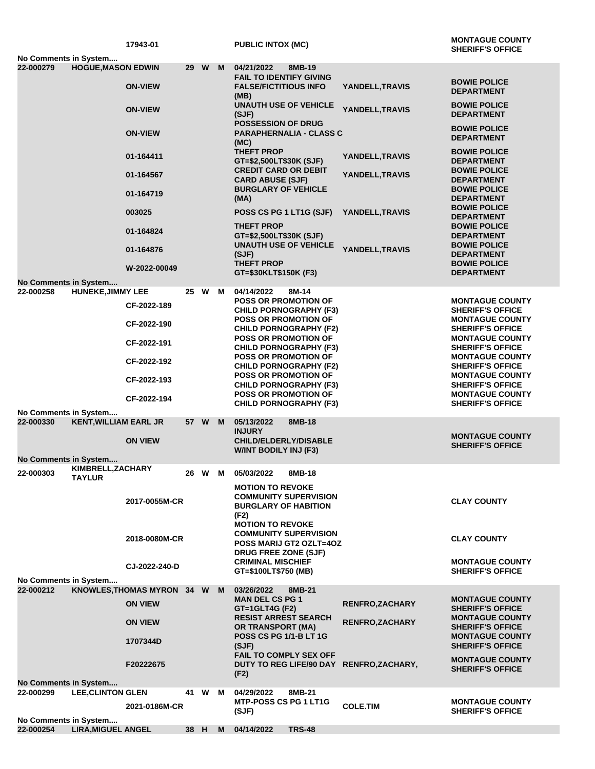|                       |                                    | 17943-01                   |      |      |                                                                                                   | <b>PUBLIC INTOX (MC)</b>                                                                    |                                          | <b>MONTAGUE COUNTY</b><br><b>SHERIFF'S OFFICE</b>                            |  |  |
|-----------------------|------------------------------------|----------------------------|------|------|---------------------------------------------------------------------------------------------------|---------------------------------------------------------------------------------------------|------------------------------------------|------------------------------------------------------------------------------|--|--|
| No Comments in System |                                    |                            |      |      |                                                                                                   |                                                                                             |                                          |                                                                              |  |  |
| 22-000279             | <b>HOGUE, MASON EDWIN</b>          | <b>ON-VIEW</b>             | 29 W |      | M                                                                                                 | 04/21/2022<br>8MB-19<br><b>FAIL TO IDENTIFY GIVING</b><br><b>FALSE/FICTITIOUS INFO</b>      | YANDELL, TRAVIS                          | <b>BOWIE POLICE</b>                                                          |  |  |
|                       |                                    |                            |      |      |                                                                                                   | (MB)<br><b>UNAUTH USE OF VEHICLE</b>                                                        | YANDELL, TRAVIS                          | <b>DEPARTMENT</b><br><b>BOWIE POLICE</b>                                     |  |  |
|                       |                                    | <b>ON-VIEW</b>             |      |      | (SJF)<br><b>POSSESSION OF DRUG</b><br><b>PARAPHERNALIA - CLASS C</b><br>(MC)<br><b>THEFT PROP</b> |                                                                                             | <b>DEPARTMENT</b><br><b>BOWIE POLICE</b> |                                                                              |  |  |
|                       |                                    | <b>ON-VIEW</b>             |      |      |                                                                                                   |                                                                                             | <b>DEPARTMENT</b><br><b>BOWIE POLICE</b> |                                                                              |  |  |
|                       |                                    | 01-164411<br>01-164567     |      |      |                                                                                                   | GT=\$2,500LT\$30K (SJF)<br><b>CREDIT CARD OR DEBIT</b>                                      | YANDELL, TRAVIS                          | <b>DEPARTMENT</b><br><b>BOWIE POLICE</b>                                     |  |  |
|                       |                                    | 01-164719                  |      |      |                                                                                                   | <b>CARD ABUSE (SJF)</b><br><b>BURGLARY OF VEHICLE</b>                                       | YANDELL, TRAVIS                          | <b>DEPARTMENT</b><br><b>BOWIE POLICE</b>                                     |  |  |
|                       |                                    | 003025                     |      |      |                                                                                                   | (MA)<br>POSS CS PG 1 LT1G (SJF)                                                             | YANDELL, TRAVIS                          | <b>DEPARTMENT</b><br><b>BOWIE POLICE</b><br><b>DEPARTMENT</b>                |  |  |
|                       |                                    | 01-164824                  |      |      |                                                                                                   | <b>THEFT PROP</b><br>GT=\$2,500LT\$30K (SJF)                                                |                                          | <b>BOWIE POLICE</b><br><b>DEPARTMENT</b>                                     |  |  |
|                       |                                    | 01-164876                  |      |      |                                                                                                   | <b>UNAUTH USE OF VEHICLE</b><br>(SJF)                                                       | YANDELL, TRAVIS                          | <b>BOWIE POLICE</b><br><b>DEPARTMENT</b>                                     |  |  |
|                       |                                    | W-2022-00049               |      |      |                                                                                                   | <b>THEFT PROP</b><br>GT=\$30KLT\$150K (F3)                                                  |                                          | <b>BOWIE POLICE</b><br><b>DEPARTMENT</b>                                     |  |  |
| No Comments in System |                                    |                            |      |      |                                                                                                   |                                                                                             |                                          |                                                                              |  |  |
| 22-000258             | <b>HUNEKE, JIMMY LEE</b>           | CF-2022-189                |      | 25 W | M                                                                                                 | 04/14/2022<br>8M-14<br><b>POSS OR PROMOTION OF</b><br><b>CHILD PORNOGRAPHY (F3)</b>         |                                          | <b>MONTAGUE COUNTY</b><br><b>SHERIFF'S OFFICE</b>                            |  |  |
|                       |                                    | CF-2022-190                |      |      |                                                                                                   | <b>POSS OR PROMOTION OF</b><br><b>CHILD PORNOGRAPHY (F2)</b>                                |                                          | <b>MONTAGUE COUNTY</b><br><b>SHERIFF'S OFFICE</b>                            |  |  |
|                       |                                    | CF-2022-191                |      |      |                                                                                                   | <b>POSS OR PROMOTION OF</b><br><b>CHILD PORNOGRAPHY (F3)</b>                                |                                          | <b>MONTAGUE COUNTY</b><br><b>SHERIFF'S OFFICE</b>                            |  |  |
|                       |                                    | CF-2022-192                |      |      |                                                                                                   | <b>POSS OR PROMOTION OF</b><br><b>CHILD PORNOGRAPHY (F2)</b>                                |                                          | <b>MONTAGUE COUNTY</b><br><b>SHERIFF'S OFFICE</b>                            |  |  |
|                       |                                    | CF-2022-193                |      |      |                                                                                                   | <b>POSS OR PROMOTION OF</b><br><b>CHILD PORNOGRAPHY (F3)</b><br><b>POSS OR PROMOTION OF</b> |                                          | <b>MONTAGUE COUNTY</b><br><b>SHERIFF'S OFFICE</b><br><b>MONTAGUE COUNTY</b>  |  |  |
| No Comments in System |                                    | CF-2022-194                |      |      |                                                                                                   | <b>CHILD PORNOGRAPHY (F3)</b>                                                               |                                          | <b>SHERIFF'S OFFICE</b>                                                      |  |  |
| 22-000330             | <b>KENT, WILLIAM EARL JR</b>       |                            |      | 57 W | M                                                                                                 | 05/13/2022<br>8MB-18<br><b>INJURY</b>                                                       |                                          | <b>MONTAGUE COUNTY</b>                                                       |  |  |
|                       |                                    | <b>ON VIEW</b>             |      |      |                                                                                                   | <b>CHILD/ELDERLY/DISABLE</b><br><b>W/INT BODILY INJ (F3)</b>                                |                                          | <b>SHERIFF'S OFFICE</b>                                                      |  |  |
| No Comments in System |                                    |                            |      |      |                                                                                                   |                                                                                             |                                          |                                                                              |  |  |
| 22-000303             | KIMBRELL, ZACHARY<br><b>TAYLUR</b> |                            |      |      |                                                                                                   | 26 W M 05/03/2022<br>8MB-18<br><b>MOTION TO REVOKE</b>                                      |                                          |                                                                              |  |  |
|                       |                                    | 2017-0055M-CR              |      |      |                                                                                                   | <b>COMMUNITY SUPERVISION</b><br><b>BURGLARY OF HABITION</b><br>(F2)                         |                                          | <b>CLAY COUNTY</b>                                                           |  |  |
|                       |                                    | 2018-0080M-CR              |      |      |                                                                                                   | <b>MOTION TO REVOKE</b><br><b>COMMUNITY SUPERVISION</b><br><b>POSS MARIJ GT2 OZLT=4OZ</b>   |                                          | <b>CLAY COUNTY</b>                                                           |  |  |
|                       |                                    | CJ-2022-240-D              |      |      |                                                                                                   | DRUG FREE ZONE (SJF)<br><b>CRIMINAL MISCHIEF</b>                                            |                                          | <b>MONTAGUE COUNTY</b>                                                       |  |  |
| No Comments in System |                                    |                            |      |      |                                                                                                   | GT=\$100LT\$750 (MB)                                                                        |                                          | <b>SHERIFF'S OFFICE</b>                                                      |  |  |
| 22-000212             |                                    | KNOWLES, THOMAS MYRON 34 W |      |      | M                                                                                                 | 03/26/2022<br>8MB-21<br><b>MAN DEL CS PG 1</b>                                              |                                          | <b>MONTAGUE COUNTY</b>                                                       |  |  |
|                       |                                    | <b>ON VIEW</b>             |      |      |                                                                                                   | GT=1GLT4G (F2)<br><b>RESIST ARREST SEARCH</b>                                               | RENFRO, ZACHARY                          | <b>SHERIFF'S OFFICE</b><br><b>MONTAGUE COUNTY</b>                            |  |  |
|                       |                                    | <b>ON VIEW</b><br>1707344D |      |      |                                                                                                   | OR TRANSPORT (MA)<br><b>POSS CS PG 1/1-B LT 1G</b>                                          | <b>RENFRO, ZACHARY</b>                   | <b>SHERIFF'S OFFICE</b><br><b>MONTAGUE COUNTY</b>                            |  |  |
|                       |                                    | F20222675                  |      |      |                                                                                                   | (SJF)<br>FAIL TO COMPLY SEX OFF<br>DUTY TO REG LIFE/90 DAY RENFRO, ZACHARY,<br>(F2)         |                                          | <b>SHERIFF'S OFFICE</b><br><b>MONTAGUE COUNTY</b><br><b>SHERIFF'S OFFICE</b> |  |  |
| No Comments in System |                                    |                            |      |      |                                                                                                   |                                                                                             |                                          |                                                                              |  |  |
| 22-000299             | <b>LEE, CLINTON GLEN</b>           |                            |      | 41 W | M                                                                                                 | 04/29/2022<br>8MB-21<br><b>MTP-POSS CS PG 1 LT1G</b>                                        |                                          | <b>MONTAGUE COUNTY</b>                                                       |  |  |
| No Comments in System |                                    | 2021-0186M-CR              |      |      |                                                                                                   | (SJF)                                                                                       | <b>COLE.TIM</b>                          | <b>SHERIFF'S OFFICE</b>                                                      |  |  |
| 22-000254             | <b>LIRA, MIGUEL ANGEL</b>          |                            | 38 H |      | M                                                                                                 | 04/14/2022<br><b>TRS-48</b>                                                                 |                                          |                                                                              |  |  |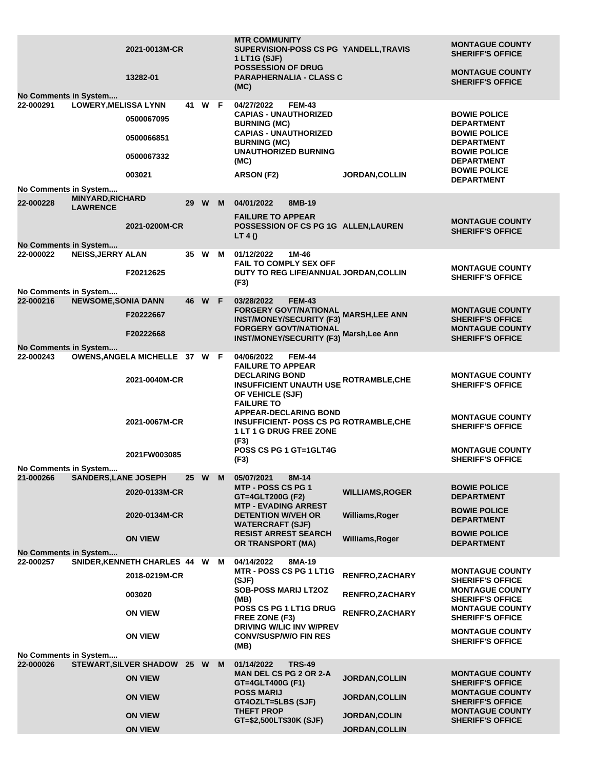| No Comments in System                     |                                            | 2021-0013M-CR<br>13282-01                      |        |   | <b>MTR COMMUNITY</b><br>SUPERVISION-POSS CS PG YANDELL, TRAVIS<br>1 LT1G (SJF)<br><b>POSSESSION OF DRUG</b><br><b>PARAPHERNALIA - CLASS C</b><br>(MC)                            |                        | <b>MONTAGUE COUNTY</b><br><b>SHERIFF'S OFFICE</b><br><b>MONTAGUE COUNTY</b><br><b>SHERIFF'S OFFICE</b>                                                  |
|-------------------------------------------|--------------------------------------------|------------------------------------------------|--------|---|----------------------------------------------------------------------------------------------------------------------------------------------------------------------------------|------------------------|---------------------------------------------------------------------------------------------------------------------------------------------------------|
| 22-000291                                 | <b>LOWERY, MELISSA LYNN</b>                | 0500067095<br>0500066851<br>0500067332         | 41 W F |   | 04/27/2022<br><b>FEM-43</b><br><b>CAPIAS - UNAUTHORIZED</b><br><b>BURNING (MC)</b><br><b>CAPIAS - UNAUTHORIZED</b><br><b>BURNING (MC)</b><br><b>UNAUTHORIZED BURNING</b><br>(MC) |                        | <b>BOWIE POLICE</b><br><b>DEPARTMENT</b><br><b>BOWIE POLICE</b><br><b>DEPARTMENT</b><br><b>BOWIE POLICE</b><br><b>DEPARTMENT</b><br><b>BOWIE POLICE</b> |
| No Comments in System                     |                                            | 003021                                         |        |   | ARSON (F2)                                                                                                                                                                       | <b>JORDAN,COLLIN</b>   | <b>DEPARTMENT</b>                                                                                                                                       |
| 22-000228                                 | <b>MINYARD, RICHARD</b><br><b>LAWRENCE</b> |                                                | 29 W   | M | 04/01/2022<br>8MB-19<br><b>FAILURE TO APPEAR</b>                                                                                                                                 |                        |                                                                                                                                                         |
|                                           |                                            | 2021-0200M-CR                                  |        |   | POSSESSION OF CS PG 1G ALLEN, LAUREN<br>LT 4()                                                                                                                                   |                        | <b>MONTAGUE COUNTY</b><br><b>SHERIFF'S OFFICE</b>                                                                                                       |
| <b>No Comments in System</b><br>22-000022 | <b>NEISS, JERRY ALAN</b>                   | F20212625                                      | 35 W M |   | 01/12/2022<br>1M-46<br>FAIL TO COMPLY SEX OFF<br>DUTY TO REG LIFE/ANNUAL JORDAN, COLLIN                                                                                          |                        | <b>MONTAGUE COUNTY</b><br><b>SHERIFF'S OFFICE</b>                                                                                                       |
| No Comments in System                     |                                            |                                                |        |   | (F3)                                                                                                                                                                             |                        |                                                                                                                                                         |
| 22-000216                                 | <b>NEWSOME, SONIA DANN</b>                 | F20222667                                      | 46 W F |   | 03/28/2022<br><b>FEM-43</b><br><b>FORGERY GOVT/NATIONAL</b><br><b>INST/MONEY/SECURITY (F3)</b><br><b>FORGERY GOVT/NATIONAL</b>                                                   | <b>MARSH,LEE ANN</b>   | <b>MONTAGUE COUNTY</b><br><b>SHERIFF'S OFFICE</b><br><b>MONTAGUE COUNTY</b>                                                                             |
| No Comments in System                     |                                            | F20222668                                      |        |   | <b>INST/MONEY/SECURITY (F3)</b>                                                                                                                                                  | Marsh, Lee Ann         | <b>SHERIFF'S OFFICE</b>                                                                                                                                 |
| 22-000243                                 |                                            | OWENS, ANGELA MICHELLE 37 W F<br>2021-0040M-CR |        |   | 04/06/2022<br><b>FEM-44</b><br><b>FAILURE TO APPEAR</b><br><b>DECLARING BOND</b><br><b>INSUFFICIENT UNAUTH USE ROTRAMBLE, CHE</b><br>OF VEHICLE (SJF)                            |                        | <b>MONTAGUE COUNTY</b><br><b>SHERIFF'S OFFICE</b>                                                                                                       |
|                                           |                                            | 2021-0067M-CR                                  |        |   | <b>FAILURE TO</b><br><b>APPEAR-DECLARING BOND</b><br><b>INSUFFICIENT- POSS CS PG ROTRAMBLE, CHE</b><br><b>1 LT 1 G DRUG FREE ZONE</b><br>(F3)                                    |                        | <b>MONTAGUE COUNTY</b><br><b>SHERIFF'S OFFICE</b>                                                                                                       |
|                                           |                                            | 2021FW003085                                   |        |   | POSS CS PG 1 GT=1GLT4G<br>(F3)                                                                                                                                                   |                        | <b>MONTAGUE COUNTY</b><br><b>SHERIFF'S OFFICE</b>                                                                                                       |
| No Comments in System<br>21-000266        | <b>SANDERS, LANE JOSEPH</b>                |                                                | 25 W   | M | 05/07/2021<br>8M-14                                                                                                                                                              |                        |                                                                                                                                                         |
|                                           |                                            | 2020-0133M-CR                                  |        |   | <b>MTP - POSS CS PG 1</b><br>GT=4GLT200G (F2)<br><b>MTP - EVADING ARREST</b>                                                                                                     | <b>WILLIAMS, ROGER</b> | <b>BOWIE POLICE</b><br><b>DEPARTMENT</b>                                                                                                                |
|                                           |                                            | 2020-0134M-CR                                  |        |   | <b>DETENTION W/VEH OR</b><br><b>WATERCRAFT (SJF)</b>                                                                                                                             | Williams, Roger        | <b>BOWIE POLICE</b><br><b>DEPARTMENT</b>                                                                                                                |
|                                           |                                            | <b>ON VIEW</b>                                 |        |   | <b>RESIST ARREST SEARCH</b><br><b>OR TRANSPORT (MA)</b>                                                                                                                          | Williams, Roger        | <b>BOWIE POLICE</b><br><b>DEPARTMENT</b>                                                                                                                |
| No Comments in System<br>22-000257        |                                            | SNIDER, KENNETH CHARLES 44 W M                 |        |   | 04/14/2022<br>8MA-19                                                                                                                                                             |                        |                                                                                                                                                         |
|                                           |                                            | 2018-0219M-CR                                  |        |   | MTR - POSS CS PG 1 LT1G<br>(SJF)                                                                                                                                                 | RENFRO, ZACHARY        | <b>MONTAGUE COUNTY</b><br><b>SHERIFF'S OFFICE</b>                                                                                                       |
|                                           |                                            | 003020                                         |        |   | <b>SOB-POSS MARIJ LT2OZ</b><br>(MB)                                                                                                                                              | <b>RENFRO, ZACHARY</b> | <b>MONTAGUE COUNTY</b><br><b>SHERIFF'S OFFICE</b>                                                                                                       |
|                                           |                                            | <b>ON VIEW</b>                                 |        |   | POSS CS PG 1 LT1G DRUG<br>FREE ZONE (F3)<br>DRIVING W/LIC INV W/PREV                                                                                                             | RENFRO, ZACHARY        | <b>MONTAGUE COUNTY</b><br><b>SHERIFF'S OFFICE</b>                                                                                                       |
|                                           |                                            | <b>ON VIEW</b>                                 |        |   | <b>CONV/SUSP/W/O FIN RES</b><br>(MB)                                                                                                                                             |                        | <b>MONTAGUE COUNTY</b><br><b>SHERIFF'S OFFICE</b>                                                                                                       |
| No Comments in System<br>22-000026        |                                            | STEWART, SILVER SHADOW 25 W                    |        | M | <b>TRS-49</b>                                                                                                                                                                    |                        |                                                                                                                                                         |
|                                           |                                            | <b>ON VIEW</b>                                 |        |   | 01/14/2022<br><b>MAN DEL CS PG 2 OR 2-A</b>                                                                                                                                      | <b>JORDAN, COLLIN</b>  | <b>MONTAGUE COUNTY</b>                                                                                                                                  |
|                                           |                                            | <b>ON VIEW</b>                                 |        |   | GT=4GLT400G (F1)<br><b>POSS MARIJ</b><br>GT4OZLT=5LBS (SJF)                                                                                                                      | <b>JORDAN,COLLIN</b>   | <b>SHERIFF'S OFFICE</b><br><b>MONTAGUE COUNTY</b><br><b>SHERIFF'S OFFICE</b>                                                                            |
|                                           |                                            | <b>ON VIEW</b>                                 |        |   | <b>THEFT PROP</b>                                                                                                                                                                | <b>JORDAN,COLIN</b>    | <b>MONTAGUE COUNTY</b>                                                                                                                                  |
|                                           |                                            | <b>ON VIEW</b>                                 |        |   | GT=\$2,500LT\$30K (SJF)                                                                                                                                                          | JORDAN, COLLIN         | <b>SHERIFF'S OFFICE</b>                                                                                                                                 |